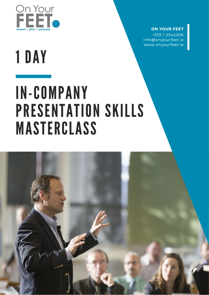

#### **ON YOUR FEET**

+353 1 2542206 info@onyourfeet.ie www.onyourfeet.ie

# 1 DAY

# IN-COMPANY PRESENTATION SKILLS MASTERCLASS

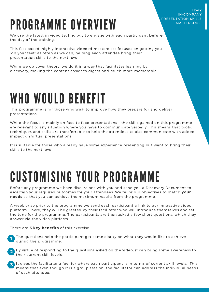#### 1 DAY IN-COMPANY PRESENTATION SKILLS MASTERCLASS

## PROGRAMME OVERVIEW

We use the latest in video technology to engage with each participant **before** the day of the training.

This fast paced, highly interactive videoed masterclass focuses on getting you "on your feet" as often as we can, helping each attendee bring their presentation skills to the next level.

While we do cover theory, we do it in a way that facilitates learning by discovery, making the content easier to digest and much more memorable.

### WHO WOULD BENEFIT

This programme is for those who wish to improve how they prepare for and deliver presentations.

While the focus is mainly on face to face presentations – the skills gained on this programme are relevant to any situation where you have to communicate verbally. This means that tools, techniques and skills are transferrable to help the attendees to also communicate with added impact on virtual presentations.

It is suitable for those who already have some experience presenting but want to bring their skills to the next level.

## CUSTOMISING YOUR PROGRAMME

Before any programme we have discussions with you and send you a Discovery Document to ascertain your required outcomes for your attendees. We tailor our objectives to match **your needs** so that you can achieve the maximum results from the programme.

A week or so prior to the programme we send each participant a link to our innovative video platform. There, they will be greeted by their facilitator who will introduce themselves and set the tone for the programme. The participants are then asked a few short questions, which they answer via the video platform.

There are **3 key benefits** of this exercise.





It gives the facilitator a feel for where each participant is in terms of current skill levels. This means that even though it is a group session, the facilitator can address the individual needs of each attendee. **3**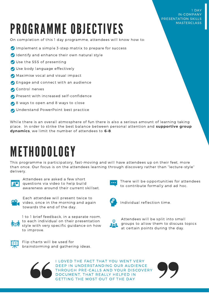# PROGRAMME OBJECTIVES

#### On completion of this 1 day programme, attendees will know how to:

- $\bullet$  Implement a simple 3-step matrix to prepare for success
- Identify and enhance their own natural style
- Use the SSS of presenting
- Use body language effectively
- Maximise vocal and visual impact
- **C** Engage and connect with an audience
- Control nerves
- **Present with increased self-confidence**
- 8 ways to open and 8 ways to close
- **O** Understand PowerPoint best practice

While there is an overall atmosphere of fun there is also a serious amount of learning taking place. In order to strike the best balance between personal attention and **supportive group dynamics**, we limit the number of attendees to **6-8**.

### METHODOLOGY

This programme is participatory, fast-moving and will have attendees up on their feet, more than once. Our focus is on the attendees learning through discovery rather than "lecture-style" delivery.



Attendees are asked a few short questions via video to help build awareness around their current skillset.



Each attendee will present twice to video, once in the morning and again towards the end of the day.



1 to 1 brief feedback, in a separate room, to each individual on their presentation style with very specific guidance on how to improve.



Flip charts will be used for brainstorming and gathering ideas.



I LOVED THE FACT THAT YOU WENT VERY DEEP IN UNDERSTANDING OUR AUDIENCE THROUGH PRE-CALLS AND YOUR DISCOVERY DOCUMENT, THAT REALLY HELPED IN GETTING THE MOST OUT OF THE DAY



Attendees will be split into small

Individual reflection time.

at certain points during the day.

groups to allow them to discuss topics

There will be opportunities for attendees

to contribute formally and ad hoc.

1 DAY IN-COMPANY PRESENTATION SKILLS **MASTERCLASS**